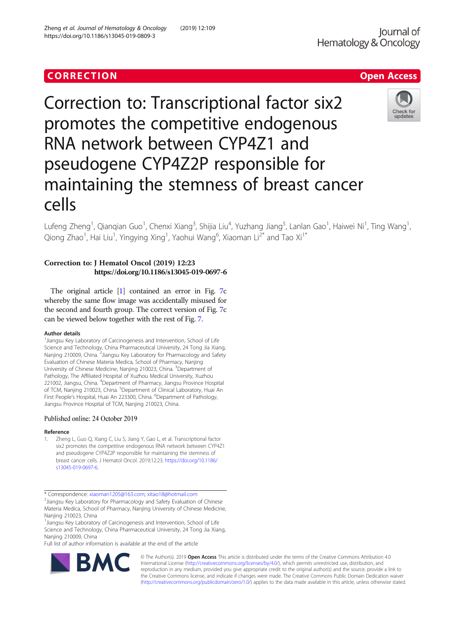## CORR EC TION Open [Access](http://crossmark.crossref.org/dialog/?doi=10.1186/s13045-019-0809-3&domain=pdf)

# Correction to: Transcriptional factor six2 promotes the competitive endogenous RNA network between CYP4Z1 and pseudogene CYP4Z2P responsible for maintaining the stemness of breast cancer cells

Lufeng Zheng<sup>1</sup>, Qianqian Guo<sup>1</sup>, Chenxi Xiang<sup>3</sup>, Shijia Liu<sup>4</sup>, Yuzhang Jiang<sup>5</sup>, Lanlan Gao<sup>1</sup>, Haiwei Ni<sup>1</sup>, Ting Wang<sup>1</sup> , Qiong Zhao<sup>1</sup>, Hai Liu<sup>1</sup>, Yingying Xing<sup>1</sup>, Yaohui Wang<sup>6</sup>, Xiaoman Li<sup>2\*</sup> and Tao Xi<sup>1\*</sup>

### Correction to: J Hematol Oncol (2019) 12:23 https://doi.org/10.1186/s13045-019-0697-6

The original article [1] contained an error in Fig. [7](#page-1-0)c whereby the same flow image was accidentally misused for the second and fourth group. The correct version of Fig. [7](#page-1-0)c can be viewed below together with the rest of Fig. [7](#page-1-0).

#### Author details

<sup>1</sup> Jiangsu Key Laboratory of Carcinogenesis and Intervention, School of Life Science and Technology, China Pharmaceutical University, 24 Tong Jia Xiang, Nanjing 210009, China. <sup>2</sup> Jiangsu Key Laboratory for Pharmacology and Safety Evaluation of Chinese Materia Medica, School of Pharmacy, Nanjing University of Chinese Medicine, Nanjing 210023, China. <sup>3</sup>Department of Pathology, The Affiliated Hospital of Xuzhou Medical University, Xuzhou 221002, Jiangsu, China. <sup>4</sup> Department of Pharmacy, Jiangsu Province Hospital of TCM, Nanjing 210023, China. <sup>5</sup>Department of Clinical Laboratory, Huai An First People's Hospital, Huai An 223300, China. <sup>6</sup>Department of Pathology, Jiangsu Province Hospital of TCM, Nanjing 210023, China.

#### Published online: 24 October 2019

#### Reference

1. Zheng L, Guo Q, Xiang C, Liu S, Jiang Y, Gao L, et al. Transcriptional factor six2 promotes the competitive endogenous RNA network between CYP4Z1 and pseudogene CYP4Z2P responsible for maintaining the stemness of breast cancer cells. J Hematol Oncol. 2019;12:23. [https://doi.org/10.1186/](https://doi.org/10.1186/s13045-019-0697-6) [s13045-019-0697-6.](https://doi.org/10.1186/s13045-019-0697-6)

\* Correspondence: [xiaoman1205@163.com](mailto:xiaoman1205@163.com); [xitao18@hotmail.com](mailto:xitao18@hotmail.com) <sup>2</sup>

 $2$ Jiangsu Key Laboratory for Pharmacology and Safety Evaluation of Chinese Materia Medica, School of Pharmacy, Nanjing University of Chinese Medicine, Nanjing 210023, China

<sup>1</sup>Jiangsu Key Laboratory of Carcinogenesis and Intervention, School of Life Science and Technology, China Pharmaceutical University, 24 Tong Jia Xiang, Nanjing 210009, China

Full list of author information is available at the end of the article



© The Author(s). 2019 **Open Access** This article is distributed under the terms of the Creative Commons Attribution 4.0 International License [\(http://creativecommons.org/licenses/by/4.0/](http://creativecommons.org/licenses/by/4.0/)), which permits unrestricted use, distribution, and reproduction in any medium, provided you give appropriate credit to the original author(s) and the source, provide a link to the Creative Commons license, and indicate if changes were made. The Creative Commons Public Domain Dedication waiver [\(http://creativecommons.org/publicdomain/zero/1.0/](http://creativecommons.org/publicdomain/zero/1.0/)) applies to the data made available in this article, unless otherwise stated.